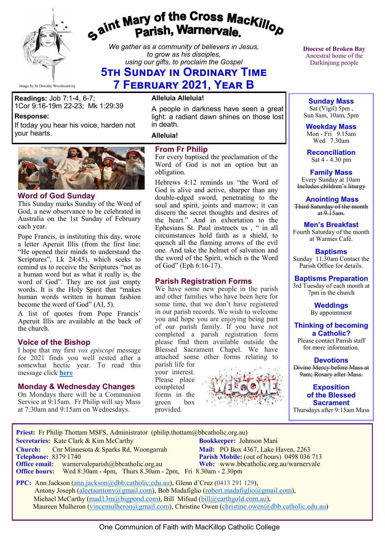

# gaint Mary of the Cross Mackillop<br>Parish, Warnervale.

*We gather as a community of believers in Jesus, to grow as his disciples, using our gifts, to proclaim the Gospel*

## **5th Sunday in Ordinary Time 7 February 2021, Year B**

Image by Sr Dorothy Woodward rsj

**Readings:** Job 7:1-4, 6-7;

1Cor 9:16-19m 22-23; Mk 1:29:39

If today you hear his voice, harden not

**Word of God Sunday**

each year.

**Response:** 

your hearts.

the church.

This Sunday marks Sunday of the Word of God, a new observance to be celebrated in Australia on the 1st Sunday of February

Pope Francis, in instituting this day, wrote a letter Aperuit Illis (from the first line: "He opened their minds to understand the Scriptures", Lk 24:45), which seeks to remind us to receive the Scriptures "not as a human word but as what it really is, the word of God". They are not just empty words. It is the Holy Spirit that "makes human words written in human fashion

become the word of God" (AI, 5).

**Voice of the Bishop**

message click **[here](https://bbcatholic.us8.list-manage.com/track/click?u=466af249e088db70ab864d088&id=09307b8700&e=e312df0f80)**

A list of quotes from Pope Francis' Aperuit Illis are available at the back of

I hope that my first *vox episcopi* message for 2021 finds you well rested after a somewhat hectic year. To read this

**Monday & Wednesday Changes**  On Mondays there will be a Communion Service at 9:15am. Fr Philip will say Mass at 7:30am and 9:15am on Wednesdays.

**Alleluia Alleluia!**

A people in darkness have seen a great light: a radiant dawn shines on those lost in death.

**Alleluia!**

#### **From Fr Philip**

For every baptised the proclamation of the Word of God is not an option but an obligation.

Hebrews 4:12 reminds us "the Word of God is alive and active, sharper than any double-edged sword, penetrating to the soul and spirit, joints and marrow; it can discern the secret thoughts and desires of the heart." And in exhortation to the Ephesians St. Paul instructs us , " in all circumstances hold faith as a shield, to quench all the flaming arrows of the evil one. And take the helmet of salvation and the sword of the Spirit, which is the Word of God" (Eph 6:16-17).

#### **Parish Registration Forms**

We have some new people in the parish and other families who have been here for some time, that we don't have registered in our parish records. We wish to welcome you and hope you are enjoying being part of our parish family. If you have not completed a parish registration form please find them available outside the Blessed Sacrament Chapel. We have attached some other forms relating to

parish life for your interest. Please place completed forms in the green provided.



**Diocese of Broken Bay**  Ancestral home of the Darkinjung people

**Sunday Mass** Sat (Vigil) 5pm , Sun 8am, 10am, 5pm

**Weekday Mass** Mon - Fri  $9.15$ am Wed 7.30am

**Reconciliation** Sat 4 - 4.30 pm

**Family Mass**  Every Sunday at 10am Includes children's liturgy

**Anointing Mass** Third Saturday of the month at  $9.15$ am.

#### **Men's Breakfast**

Fourth Saturday of the month at Warnies Café.

**Baptisms** Sunday 11.30am Contact the Parish Office for details.

#### **Baptisms Preparation**

3rd Tuesday of each month at 7pm in the church

> **Weddings**  By appointment

**Thinking of becoming a Catholic?**

Please contact Parish staff for more information.

**Devotions** Divine Mercy before Mass at 9am; Rosary after Mass.

**Exposition of the Blessed Sacrament** Thursdays after 9:15am Mass

**Priest:** Fr Philip Thottam MSFS, Administrator (philip.thottam@bbcatholic.org.au)  **Secretaries:** Kate Clark & Kim McCarthy **Bookkeeper:** Johnson Mani **Church:** Cnr Minnesota & Sparks Rd, Woongarrah **Mail:** PO Box 4367, Lake Haven, 2263<br> **Telephone:** 8379 1740 **Parish Mobile:** (out of hours) 0498 036 **Parish Mobile:** (out of hours) 0498 036 713 **Office email:** warnervaleparish@bbcatholic.org.au **Web:** [www.bbcatholic.org.au/warnervale](https://www.bbcatholic.org.au/warnervale) **Office hours:** Wed 8:30am - 4pm, Thurs 8.30am - 2pm, Fri 8.30am - 2.30pm

 **PPC:** Ann Jackson ([ann.jackson@dbb.catholic.edu.au\),](mailto:ann.jackson@dbb.catholic.edu.au) Glenn d'Cruz (0413 291 129), Antony Joseph ([aleetaantony@gmail.com\),](mailto:aleetaantony@gmail.com) Bob Madafiglio [\(robert.madafiglio@gmail.com\),](mailto:robert.madafiglio@gmail.com) Michael McCarthy ([mad13m@bigpond.com\)](mailto:mad13m@bigpond.com), Bill Mifsud ([bill@earthgold.com.au\),](mailto:bill@earthgold.com.au) Maureen Mulheron ([vincemulheron@gmail.com\)](mailto:vincemulheron@gmail.com), Christine Owen (christine.owen[@dbb.catholic.edu.au\)](mailto:ann.jackson@dbb.catholic.edu.au)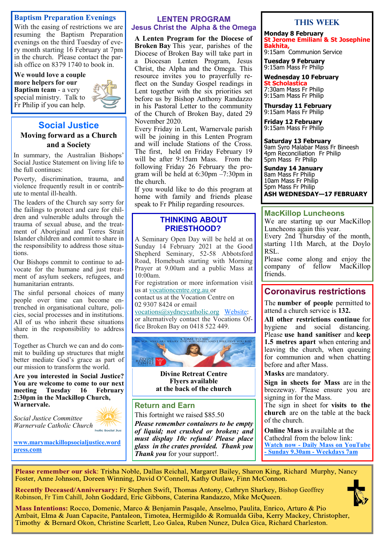#### **Baptism Preparation Evenings**

With the easing of restrictions we are resuming the Baptism Preparation evenings on the third Tuesday of every month starting 16 February at 7pm in the church. Please contact the parish office on 8379 1740 to book in.

**We would love a couple more helpers for our Baptism team** - a very special ministry. Talk to Fr Philip if you can help.



#### **Social Justice Moving forward as a Church and a Society**

In summary, the Australian Bishops' Social Justice Statement on living life to the full continues:

Poverty, discrimination, trauma, and violence frequently result in or contribute to mental ill-health.

The leaders of the Church say sorry for the failings to protect and care for children and vulnerable adults through the trauma of sexual abuse, and the treatment of Aboriginal and Torres Strait Islander children and commit to share in the responsibility to address those situations.

Our Bishops commit to continue to advocate for the humane and just treatment of asylum seekers, refugees, and humanitarian entrants.

The sinful personal choices of many people over time can become entrenched in organisational culture, policies, social processes and in institutions. All of us who inherit these situations share in the responsibility to address them.

Together as Church we can and do commit to building up structures that might better mediate God's grace as part of our mission to transform the world.

**Are you interested in Social Justice? You are welcome to come to our next meeting Tuesday 16 February 2:30pm in the Mackillop Church, Warnervale.** 



*Social Justice Committee Warnervale Catholic Church* 

**[www.marymackillopsocialjustice.word](http://www.marymackillopsocialjustice.wordpress.com) press[.com](http://www.marymackillopsocialjustice.wordpress.com)**

#### **LENTEN PROGRAM Jesus Christ the Alpha & the Omega**

**A Lenten Program for the Diocese of Broken Bay** This year, parishes of the Diocese of Broken Bay will take part in a Diocesan Lenten Program, Jesus Christ, the Alpha and the Omega. This resource invites you to prayerfully reflect on the Sunday Gospel readings in Lent together with the six priorities set before us by Bishop Anthony Randazzo in his Pastoral Letter to the community of the Church of Broken Bay, dated 29 November 2020.

Every Friday in Lent, Warnervale parish will be joining in this Lenten Program and will include Stations of the Cross. The first, held on Friday February 19 will be after 9:15am Mass. From the following Friday 26 February the program will be held at 6:30pm –7:30pm in the church.

If you would like to do this program at home with family and friends please speak to Fr Philip regarding resources.

#### **THINKING ABOUT PRIESTHOOD?**

A Seminary Open Day will be held at on Sunday 14 February 2021 at the Good Shepherd Seminary, 52-58 Abbotsford Road, Homebush starting with Morning Prayer at 9.00am and a public Mass at 10:00am.

For registration or more information visit us at [vocationcentre.org.au o](https://bbcatholic.us8.list-manage.com/track/click?u=466af249e088db70ab864d088&id=bac6335bad&e=e312df0f80)r

contact us at the Vocation Centre on 02 9307 8424 or email

[vocations@sydneycatholic.org](mailto:vocations@sydneycatholic.org) [Website:](https://bbcatholic.us8.list-manage.com/track/click?u=466af249e088db70ab864d088&id=ae1d1eb3c0&e=e312df0f80) or alternatively contact the Vocations Office Broken Bay on 0418 522 449.



**Divine Retreat Centre Flyers available at the back of the church**

#### **Return and Earn**

This fortnight we raised \$85.50

*Please remember containers to be empty of liquid; not crushed or broken; and must display 10c refund/ Please place glass in the crates provided. Thank you Thank you* for your support!.

#### **This Week**

**Monday 8 February St Jerome Emiliani & St Josephine Bakhita,**

9:15am Communion Service

**Tuesday 9 February** 9:15am Mass Fr Philip

**Wednesday 10 February**

**St Scholastica** 7:30am Mass Fr Philip 9:15am Mass Fr Philip

**Thursday 11 February** 9:15am Mass Fr Philip

**Friday 12 February** 9:15am Mass Fr Philip

**Saturday 13 February** 9am Syro Malabar Mass Fr Bineesh 4pm Reconciliation Fr Philip 5pm Mass Fr Philip

**Sunday 14 January** 8am Mass Fr Philip 10am Mass Fr Philip 5pm Mass Fr Philip **ASH WEDNESDAY—17 FEBRUARY**

#### **MacKillop Luncheons**

We are starting up our MacKillop Luncheons again this year.

Every 2nd Thursday of the month, starting 11th March, at the Doylo RSL.

Please come along and enjoy the company of fellow MacKillop friends.

## **Coronavirus restrictions**

The **number of people** permitted to attend a church service is **132.**

**All other restrictions continue** for hygiene and social distancing. Please **use hand sanitiser** and **keep 1.5 metres apart** when entering and leaving the church, when queuing for communion and when chatting before and after Mass.

**Masks** are mandatory.

**Sign in sheets for Mass** are in the breezeway. Please ensure you are signing in for the Mass.

The sign in sheet for **visits to the church** are on the table at the back of the church.

**Online Mass** is available at the Cathedral from the below link: **Watch now - [Daily Mass on YouTube](https://www.youtube.com/channel/UCNenwlfI7i14XB9TsVBrLvQ/)  - [Sunday 9.30am](https://www.youtube.com/channel/UCNenwlfI7i14XB9TsVBrLvQ/) - Weekdays 7am**

Please remember our sick: Trisha Noble, Dallas Reichal, Margaret Bailey, Sharon King, Richard Murphy, Nancy Foster, Anne Johnson, Doreen Winning, David O'Connell, Kathy Outlaw, Finn McConnon.

Recently Deceased/Anniversary: Fr Stephen Swift, Thomas Antony, Cathryn Sharkey, Bishop Geoffrey Robinson, Fr Tim Cahill, John Goddard, Eric Gibbons, Caterina Randazzo, Mike McQueen.

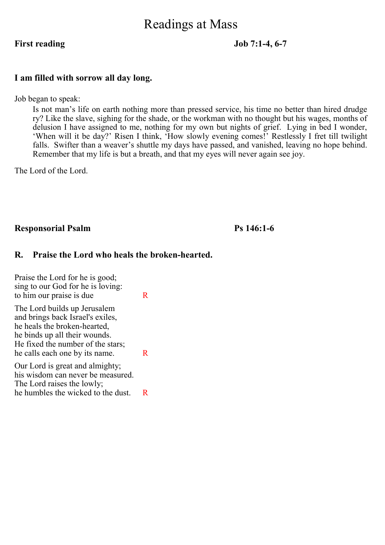# Readings at Mass

#### **First reading Job 7:1-4, 6-7**

#### **I am filled with sorrow all day long.**

Job began to speak:

Is not man's life on earth nothing more than pressed service, his time no better than hired drudge ry? Like the slave, sighing for the shade, or the workman with no thought but his wages, months of delusion I have assigned to me, nothing for my own but nights of grief. Lying in bed I wonder, 'When will it be day?' Risen I think, 'How slowly evening comes!' Restlessly I fret till twilight falls. Swifter than a weaver's shuttle my days have passed, and vanished, leaving no hope behind. Remember that my life is but a breath, and that my eyes will never again see joy.

The Lord of the Lord.

#### **Responsorial Psalm Ps 146:1-6**

#### **R. Praise the Lord who heals the broken-hearted.**

Praise the Lord for he is good; sing to our God for he is loving: to him our praise is due R The Lord builds up Jerusalem and brings back Israel's exiles, he heals the broken-hearted, he binds up all their wounds. He fixed the number of the stars; he calls each one by its name.  $R$ Our Lord is great and almighty; his wisdom can never be measured. The Lord raises the lowly; he humbles the wicked to the dust. R